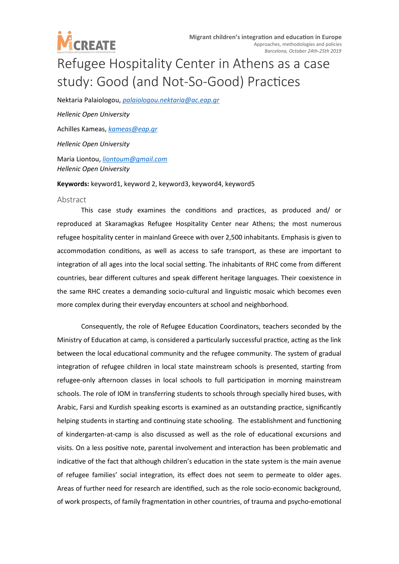

## Refugee Hospitality Center in Athens as a case study: Good (and Not-So-Good) Practices

Nektaria Palaiologou, *[palaiologou.nektaria@ac.eap.gr](mailto:palaiologou.nektaria@ac.eap.gr) Hellenic Open University* Achilles Kameas, *[kameas@eap.gr](mailto:kameas@eap.gr) Hellenic Open University*

Maria Liontou, *[liontoum@gmail.com](mailto:liontoum@gmail.com) Hellenic Open University*

**Keywords:** keyword1, keyword 2, keyword3, keyword4, keyword5

## Abstract

This case study examines the conditions and practices, as produced and/ or reproduced at Skaramagkas Refugee Hospitality Center near Athens; the most numerous refugee hospitality center in mainland Greece with over 2,500 inhabitants. Emphasis is given to accommodation conditions, as well as access to safe transport, as these are important to integration of all ages into the local social setting. The inhabitants of RHC come from different countries, bear different cultures and speak different heritage languages. Their coexistence in the same RHC creates a demanding socio-cultural and linguistic mosaic which becomes even more complex during their everyday encounters at school and neighborhood.

Consequently, the role of Refugee Education Coordinators, teachers seconded by the Ministry of Education at camp, is considered a particularly successful practice, acting as the link between the local educational community and the refugee community. The system of gradual integration of refugee children in local state mainstream schools is presented, starting from refugee-only afternoon classes in local schools to full participation in morning mainstream schools. The role of IOM in transferring students to schools through specially hired buses, with Arabic, Farsi and Kurdish speaking escorts is examined as an outstanding practice, significantly helping students in starting and continuing state schooling. The establishment and functioning of kindergarten-at-camp is also discussed as well as the role of educational excursions and visits. On a less positive note, parental involvement and interaction has been problematic and indicative of the fact that although children's education in the state system is the main avenue of refugee families' social integration, its effect does not seem to permeate to older ages. Areas of further need for research are identified, such as the role socio-economic background, of work prospects, of family fragmentation in other countries, of trauma and psycho-emotional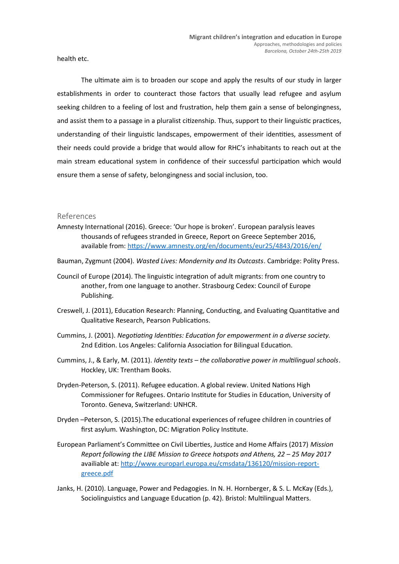health etc.

The ultimate aim is to broaden our scope and apply the results of our study in larger establishments in order to counteract those factors that usually lead refugee and asylum seeking children to a feeling of lost and frustration, help them gain a sense of belongingness, and assist them to a passage in a pluralist citizenship. Thus, support to their linguistic practices, understanding of their linguistic landscapes, empowerment of their identities, assessment of their needs could provide a bridge that would allow for RHC's inhabitants to reach out at the main stream educational system in confidence of their successful participation which would ensure them a sense of safety, belongingness and social inclusion, too.

## References

- Amnesty International (2016). Greece: 'Our hope is broken'. European paralysis leaves thousands of refugees stranded in Greece, Report on Greece September 2016, available from:<https://www.amnesty.org/en/documents/eur25/4843/2016/en/>
- Bauman, Zygmunt (2004). *Wasted Lives: Mondernity and Its Outcasts*. Cambridge: Polity Press.
- Council of Europe (2014). The linguistic integration of adult migrants: from one country to another, from one language to another. Strasbourg Cedex: Council of Europe Publishing.
- Creswell, J. (2011), Education Research: Planning, Conducting, and Evaluating Quantitative and Qualitative Research, Pearson Publications.
- Cummins, J. (2001). *Negotiating Identities: Education for empowerment in a diverse society.* 2nd Edition. Los Angeles: California Association for Bilingual Education.
- Cummins, J., & Early, M. (2011). *Identity texts the collaborative power in multilingual schools*. Hockley, UK: Trentham Books.
- Dryden-Peterson, S. (2011). Refugee education. A global review. United Nations High Commissioner for Refugees. Ontario Institute for Studies in Education, University of Toronto. Geneva, Switzerland: UNHCR.
- Dryden –Peterson, S. (2015).The educational experiences of refugee children in countries of first asylum. Washington, DC: Migration Policy Institute.
- European Parliament's Committee on Civil Liberties, Justice and Home Affairs (2017) *Mission Report following the LIBE Mission to Greece hotspots and Athens, 22 – 25 May 2017* availiable at: [http://www.europarl.europa.eu/cmsdata/136120/mission-report](http://www.europarl.europa.eu/cmsdata/136120/mission-report-greece.pdf)[greece.pdf](http://www.europarl.europa.eu/cmsdata/136120/mission-report-greece.pdf)
- Janks, H. (2010). Language, Power and Pedagogies. In N. H. Hornberger, & S. L. McKay (Eds.), Sociolinguistics and Language Education (p. 42). Bristol: Multilingual Matters.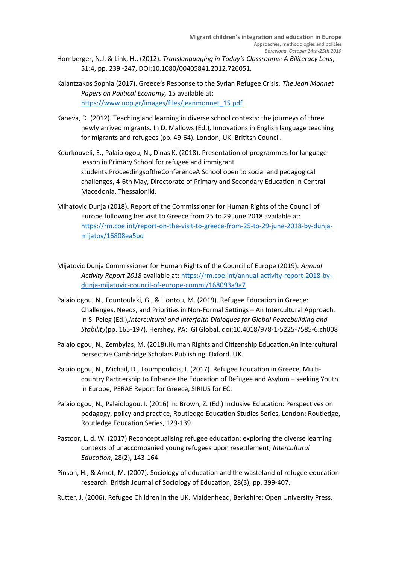- Hornberger, N.J. & Link, H., (2012). *Translanguaging in Today's Classrooms: A Biliteracy Lens*, 51:4, pp. 239 -247, DOI:10.1080/00405841.2012.726051.
- Kalantzakos Sophia (2017). Greece's Response to the Syrian Refugee Crisis. *The Jean Monnet Papers on Political Economy,* 15 available at: [https://www.uop.gr/images/files/jeanmonnet\\_15.pdf](https://www.uop.gr/images/files/jeanmonnet_15.pdf)
- Kaneva, D. (2012). Teaching and learning in diverse school contexts: the journeys of three newly arrived migrants. In D. Mallows (Ed.), Innovations in English language teaching for migrants and refugees (pp. 49-64). London, UK: Brititsh Council.
- Kourkouveli, E., Palaiologou, N., Dinas K. (2018). Presentation of programmes for language lesson in Primary School for refugee and immigrant students.ProceedingsoftheConferenceA School open to social and pedagogical challenges, 4-6th May, Directorate of Primary and Secondary Education in Central Macedonia, Thessaloniki.
- Mihatovic Dunja (2018). Report of the Commissioner for Human Rights of the Council of Europe following her visit to Greece from 25 to 29 June 2018 available at: [https://rm.coe.int/report-on-the-visit-to-greece-from-25-to-29-june-2018-by-dunja](https://rm.coe.int/report-on-the-visit-to-greece-from-25-to-29-june-2018-by-dunja-mijatov/16808ea5bd)[mijatov/16808ea5bd](https://rm.coe.int/report-on-the-visit-to-greece-from-25-to-29-june-2018-by-dunja-mijatov/16808ea5bd)
- Mijatovic Dunja Commissioner for Human Rights of the Council of Europe (2019). *Annual Activity Report 2018* available at: [https://rm.coe.int/annual-activity-report-2018-by](https://rm.coe.int/annual-activity-report-2018-by-dunja-mijatovic-council-of-europe-commi/168093a9a7)[dunja-mijatovic-council-of-europe-commi/168093a9a7](https://rm.coe.int/annual-activity-report-2018-by-dunja-mijatovic-council-of-europe-commi/168093a9a7)
- Palaiologou, N., Fountoulaki, G., & Liontou, M. (2019). Refugee Education in Greece: Challenges, Needs, and Priorities in Non-Formal Settings – An Intercultural Approach. In S. Peleg (Ed.),*Intercultural and Interfaith Dialogues for Global Peacebuilding and Stability*(pp. 165-197). Hershey, PA: IGI Global. doi:10.4018/978-1-5225-7585-6.ch008
- Palaiologou, N., Zembylas, M. (2018).Human Rights and Citizenship Education.An intercultural persective.Cambridge Scholars Publishing. Oxford. UK.
- Palaiologou, N., Michail, D., Toumpoulidis, I. (2017). Refugee Education in Greece, Multicountry Partnership to Enhance the Education of Refugee and Asylum – seeking Youth in Europe, PERAE Report for Greece, SIRIUS for EC.
- Palaiologou, N., Palaiologou. I. (2016) in: Brown, Z. (Ed.) Inclusive Education: Perspectives on pedagogy, policy and practice, Routledge Education Studies Series, London: Routledge, Routledge Education Series, 129-139.
- Pastoor, L. d. W. (2017) Reconceptualising refugee education: exploring the diverse learning contexts of unaccompanied young refugees upon resettlement, *Intercultural Education*, 28(2), 143-164.
- Pinson, H., & Arnot, M. (2007). Sociology of education and the wasteland of refugee education research. British Journal of Sociology of Education, 28(3), pp. 399-407.
- Rutter, J. (2006). Refugee Children in the UK. Maidenhead, Berkshire: Open University Press.